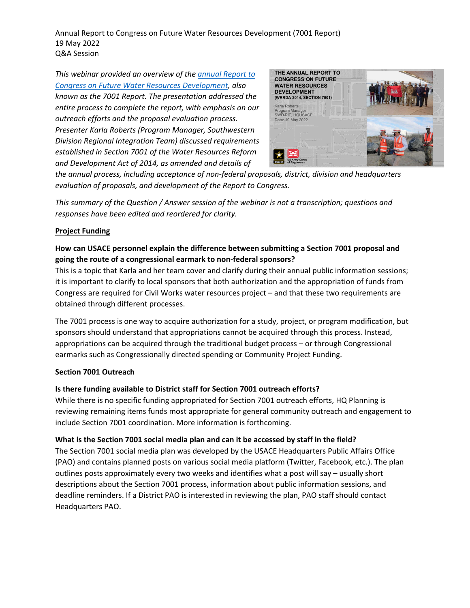Annual Report to Congress on Future Water Resources Development (7001 Report) 19 May 2022 Q&A Session

*This webinar provided an overview of th[e annual Report to](https://www.usace.army.mil/Missions/Civil-Works/Project-Planning/WRRDA-7001-Proposals/)  [Congress on Future Water Resources Development,](https://www.usace.army.mil/Missions/Civil-Works/Project-Planning/WRRDA-7001-Proposals/) also known as the 7001 Report. The presentation addressed the entire process to complete the report, with emphasis on our outreach efforts and the proposal evaluation process. Presenter Karla Roberts (Program Manager, Southwestern Division Regional Integration Team) discussed requirements established in Section 7001 of the Water Resources Reform and Development Act of 2014, as amended and details of* 



*the annual process, including acceptance of non-federal proposals, district, division and headquarters evaluation of proposals, and development of the Report to Congress.*

*This summary of the Question / Answer session of the webinar is not a transcription; questions and responses have been edited and reordered for clarity.*

### **Project Funding**

# **How can USACE personnel explain the difference between submitting a Section 7001 proposal and going the route of a congressional earmark to non-federal sponsors?**

This is a topic that Karla and her team cover and clarify during their annual public information sessions; it is important to clarify to local sponsors that both authorization and the appropriation of funds from Congress are required for Civil Works water resources project – and that these two requirements are obtained through different processes.

The 7001 process is one way to acquire authorization for a study, project, or program modification, but sponsors should understand that appropriations cannot be acquired through this process. Instead, appropriations can be acquired through the traditional budget process – or through Congressional earmarks such as Congressionally directed spending or Community Project Funding.

### **Section 7001 Outreach**

## **Is there funding available to District staff for Section 7001 outreach efforts?**

While there is no specific funding appropriated for Section 7001 outreach efforts, HQ Planning is reviewing remaining items funds most appropriate for general community outreach and engagement to include Section 7001 coordination. More information is forthcoming.

## **What is the Section 7001 social media plan and can it be accessed by staff in the field?**

The Section 7001 social media plan was developed by the USACE Headquarters Public Affairs Office (PAO) and contains planned posts on various social media platform (Twitter, Facebook, etc.). The plan outlines posts approximately every two weeks and identifies what a post will say – usually short descriptions about the Section 7001 process, information about public information sessions, and deadline reminders. If a District PAO is interested in reviewing the plan, PAO staff should contact Headquarters PAO.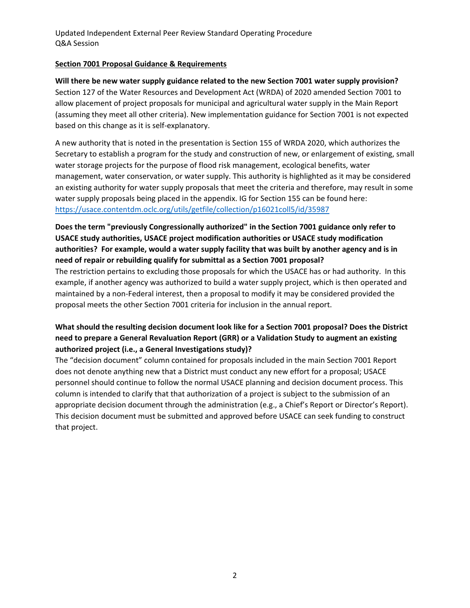Updated Independent External Peer Review Standard Operating Procedure Q&A Session

### **Section 7001 Proposal Guidance & Requirements**

**Will there be new water supply guidance related to the new Section 7001 water supply provision?** Section 127 of the Water Resources and Development Act (WRDA) of 2020 amended Section 7001 to allow placement of project proposals for municipal and agricultural water supply in the Main Report (assuming they meet all other criteria). New implementation guidance for Section 7001 is not expected based on this change as it is self-explanatory.

A new authority that is noted in the presentation is Section 155 of WRDA 2020, which authorizes the Secretary to establish a program for the study and construction of new, or enlargement of existing, small water storage projects for the purpose of flood risk management, ecological benefits, water management, water conservation, or water supply. This authority is highlighted as it may be considered an existing authority for water supply proposals that meet the criteria and therefore, may result in some water supply proposals being placed in the appendix. IG for Section 155 can be found here: <https://usace.contentdm.oclc.org/utils/getfile/collection/p16021coll5/id/35987>

# **Does the term "previously Congressionally authorized" in the Section 7001 guidance only refer to USACE study authorities, USACE project modification authorities or USACE study modification authorities? For example, would a water supply facility that was built by another agency and is in need of repair or rebuilding qualify for submittal as a Section 7001 proposal?**

The restriction pertains to excluding those proposals for which the USACE has or had authority. In this example, if another agency was authorized to build a water supply project, which is then operated and maintained by a non-Federal interest, then a proposal to modify it may be considered provided the proposal meets the other Section 7001 criteria for inclusion in the annual report.

# **What should the resulting decision document look like for a Section 7001 proposal? Does the District need to prepare a General Revaluation Report (GRR) or a Validation Study to augment an existing authorized project (i.e., a General Investigations study)?**

The "decision document" column contained for proposals included in the main Section 7001 Report does not denote anything new that a District must conduct any new effort for a proposal; USACE personnel should continue to follow the normal USACE planning and decision document process. This column is intended to clarify that that authorization of a project is subject to the submission of an appropriate decision document through the administration (e.g., a Chief's Report or Director's Report). This decision document must be submitted and approved before USACE can seek funding to construct that project.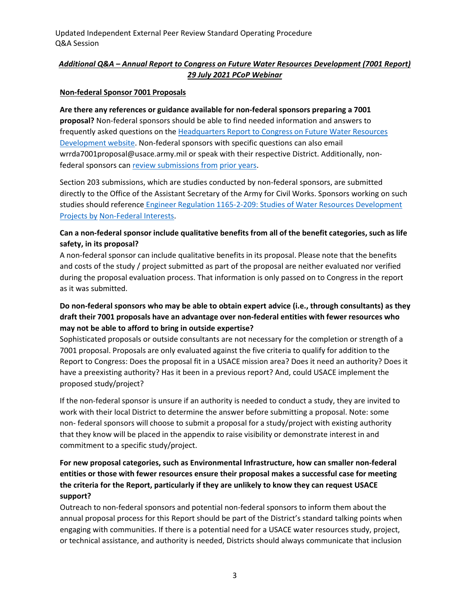Updated Independent External Peer Review Standard Operating Procedure Q&A Session

# *Additional Q&A – Annual Report to Congress on Future Water Resources Development (7001 Report) 29 July 2021 PCoP Webinar*

#### **Non-federal Sponsor 7001 Proposals**

**Are there any references or guidance available for non-federal sponsors preparing a 7001 proposal?** Non-federal sponsors should be able to find needed information and answers to frequently asked questions on the [Headquarters](https://www.usace.army.mil/Missions/Civil-Works/Project-Planning/WRRDA-7001-Proposals/) Report to Congress on Future Water Resources [Development](https://www.usace.army.mil/Missions/Civil-Works/Project-Planning/WRRDA-7001-Proposals/) website. Non-federal sponsors with specific questions can also email [wrrda7001proposal@usace.army.mil o](mailto:wrrda7001proposal@usace.army.mil)r speak with their respective District. Additionally, nonfederal sponsors ca[n review submissions from](https://www.usace.army.mil/Missions/Civil-Works/Project-Planning/Legislative-Links/wrrda2014/wrrda2014_proposals/) [prior years.](https://www.usace.army.mil/Missions/Civil-Works/Project-Planning/Legislative-Links/wrrda2014/wrrda2014_proposals/)

Section 203 submissions, which are studies conducted by non-federal sponsors, are submitted directly to the Office of the Assistant Secretary of the Army for Civil Works. Sponsors working on such studies should reference Engineer Regulation 1165-2-209: Studies of Water Resources [Development](https://www.publications.usace.army.mil/Portals/76/Publications/EngineerRegulations/ER_1165-2-209.pdf?ver=2016-04-14-102808-930) [Projects](https://www.publications.usace.army.mil/Portals/76/Publications/EngineerRegulations/ER_1165-2-209.pdf?ver=2016-04-14-102808-930) by [Non-Federal Interests.](https://www.publications.usace.army.mil/Portals/76/Publications/EngineerRegulations/ER_1165-2-209.pdf?ver=2016-04-14-102808-930)

## **Can a non-federal sponsor include qualitative benefits from all of the benefit categories, such as life safety, in its proposal?**

A non-federal sponsor can include qualitative benefits in its proposal. Please note that the benefits and costs of the study / project submitted as part of the proposal are neither evaluated nor verified during the proposal evaluation process. That information is only passed on to Congress in the report as it was submitted.

# **Do non-federal sponsors who may be able to obtain expert advice (i.e., through consultants) as they draft their 7001 proposals have an advantage over non-federal entities with fewer resources who may not be able to afford to bring in outside expertise?**

Sophisticated proposals or outside consultants are not necessary for the completion or strength of a 7001 proposal. Proposals are only evaluated against the five criteria to qualify for addition to the Report to Congress: Does the proposal fit in a USACE mission area? Does it need an authority? Does it have a preexisting authority? Has it been in a previous report? And, could USACE implement the proposed study/project?

If the non-federal sponsor is unsure if an authority is needed to conduct a study, they are invited to work with their local District to determine the answer before submitting a proposal. Note: some non- federal sponsors will choose to submit a proposal for a study/project with existing authority that they know will be placed in the appendix to raise visibility or demonstrate interest in and commitment to a specific study/project.

# **For new proposal categories, such as Environmental Infrastructure, how can smaller non-federal entities or those with fewer resources ensure their proposal makes a successful case for meeting the criteria for the Report, particularly if they are unlikely to know they can request USACE support?**

Outreach to non-federal sponsors and potential non-federal sponsors to inform them about the annual proposal process for this Report should be part of the District's standard talking points when engaging with communities. If there is a potential need for a USACE water resources study, project, or technical assistance, and authority is needed, Districts should always communicate that inclusion